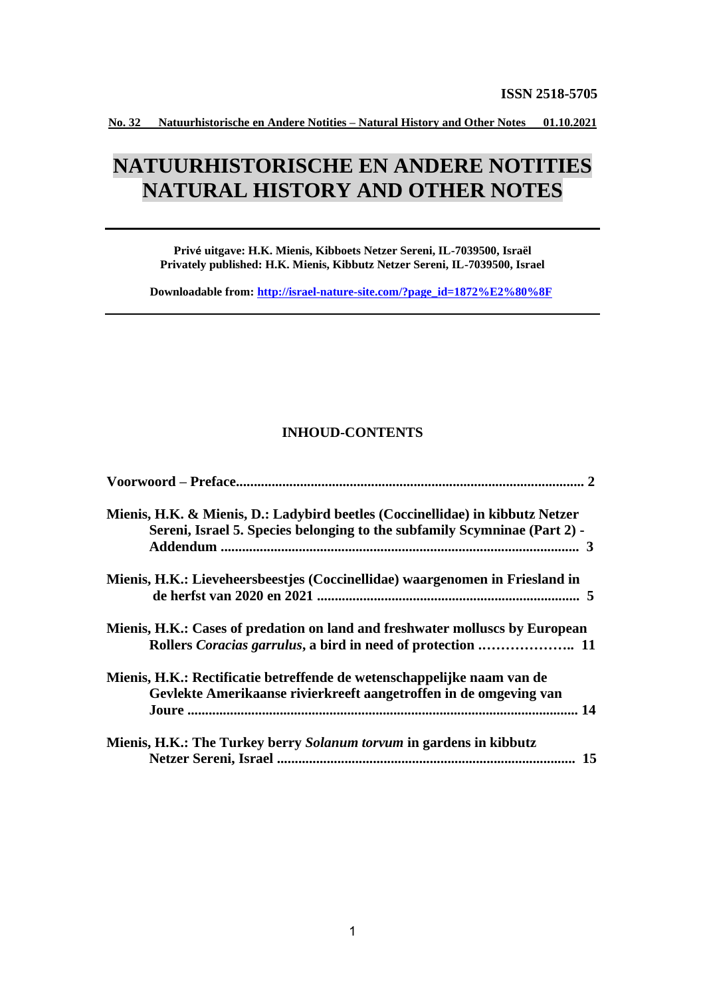# **NATUURHISTORISCHE EN ANDERE NOTITIES NATURAL HISTORY AND OTHER NOTES**

**Privé uitgave: H.K. Mienis, Kibboets Netzer Sereni, IL-7039500, Israël Privately published: H.K. Mienis, Kibbutz Netzer Sereni, IL-7039500, Israel**

**Downloadable from: [http://israel-nature-site.com/?page\\_id=1872%E2%80%8F](http://israel-nature-site.com/?page_id=1872%E2%80%8F)**

## **INHOUD-CONTENTS**

| Mienis, H.K. & Mienis, D.: Ladybird beetles (Coccinellidae) in kibbutz Netzer<br>Sereni, Israel 5. Species belonging to the subfamily Scymninae (Part 2) - |
|------------------------------------------------------------------------------------------------------------------------------------------------------------|
| Mienis, H.K.: Lieveheersbeestjes (Coccinellidae) waargenomen in Friesland in                                                                               |
| Mienis, H.K.: Cases of predation on land and freshwater molluscs by European                                                                               |
| Mienis, H.K.: Rectificatie betreffende de wetenschappelijke naam van de<br>Gevlekte Amerikaanse rivierkreeft aangetroffen in de omgeving van               |
| Mienis, H.K.: The Turkey berry Solanum torvum in gardens in kibbutz<br>15                                                                                  |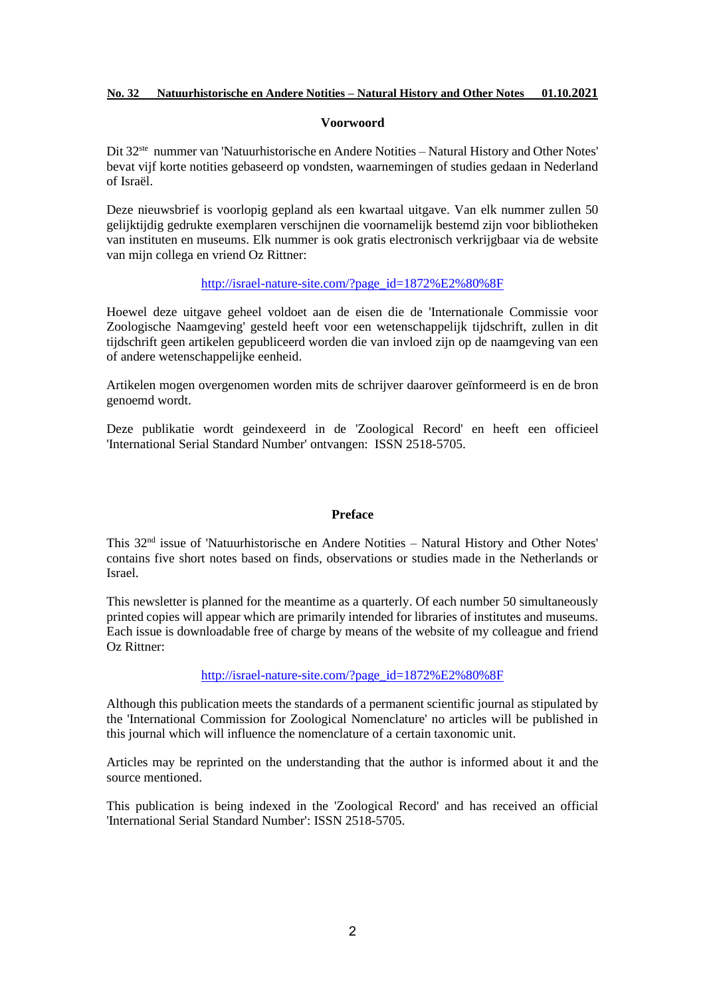#### **Voorwoord**

Dit 32<sup>ste</sup> nummer van 'Natuurhistorische en Andere Notities - Natural History and Other Notes' bevat vijf korte notities gebaseerd op vondsten, waarnemingen of studies gedaan in Nederland of Israël.

Deze nieuwsbrief is voorlopig gepland als een kwartaal uitgave. Van elk nummer zullen 50 gelijktijdig gedrukte exemplaren verschijnen die voornamelijk bestemd zijn voor bibliotheken van instituten en museums. Elk nummer is ook gratis electronisch verkrijgbaar via de website van mijn collega en vriend Oz Rittner:

## [http://israel-nature-site.com/?page\\_id=1872%E2%80%8F](http://israel-nature-site.com/?page_id=1872%E2%80%8F)

Hoewel deze uitgave geheel voldoet aan de eisen die de 'Internationale Commissie voor Zoologische Naamgeving' gesteld heeft voor een wetenschappelijk tijdschrift, zullen in dit tijdschrift geen artikelen gepubliceerd worden die van invloed zijn op de naamgeving van een of andere wetenschappelijke eenheid.

Artikelen mogen overgenomen worden mits de schrijver daarover geïnformeerd is en de bron genoemd wordt.

Deze publikatie wordt geindexeerd in de 'Zoological Record' en heeft een officieel 'International Serial Standard Number' ontvangen: ISSN 2518-5705.

#### **Preface**

This 32nd issue of 'Natuurhistorische en Andere Notities – Natural History and Other Notes' contains five short notes based on finds, observations or studies made in the Netherlands or Israel.

This newsletter is planned for the meantime as a quarterly. Of each number 50 simultaneously printed copies will appear which are primarily intended for libraries of institutes and museums. Each issue is downloadable free of charge by means of the website of my colleague and friend Oz Rittner:

[http://israel-nature-site.com/?page\\_id=1872%E2%80%8F](http://israel-nature-site.com/?page_id=1872%E2%80%8F)

Although this publication meets the standards of a permanent scientific journal as stipulated by the 'International Commission for Zoological Nomenclature' no articles will be published in this journal which will influence the nomenclature of a certain taxonomic unit.

Articles may be reprinted on the understanding that the author is informed about it and the source mentioned.

This publication is being indexed in the 'Zoological Record' and has received an official 'International Serial Standard Number': ISSN 2518-5705.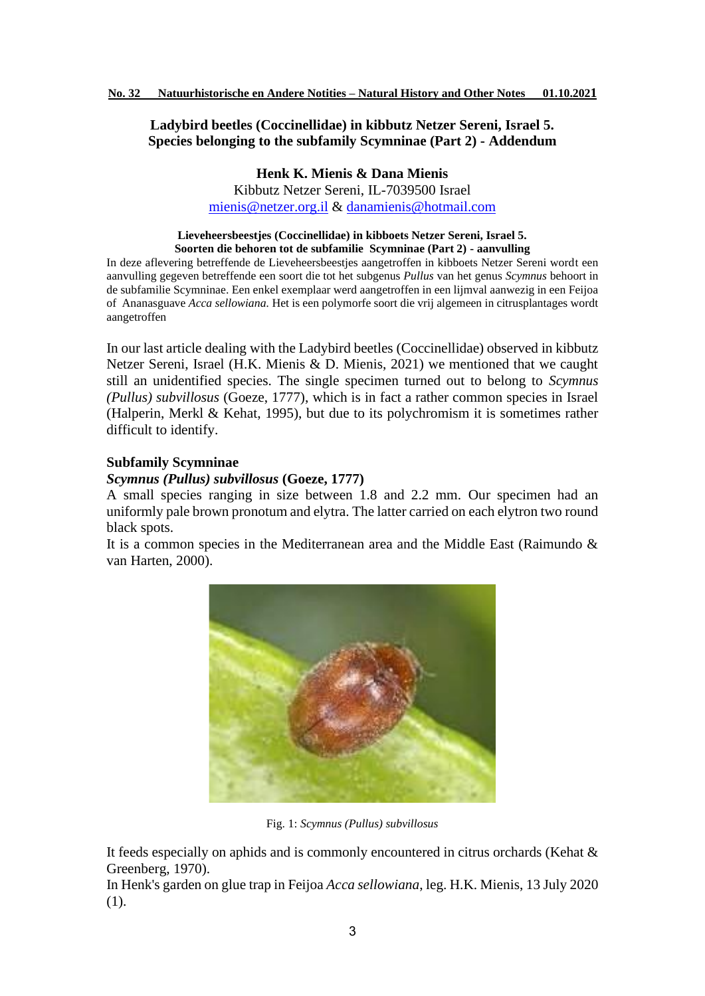# **Ladybird beetles (Coccinellidae) in kibbutz Netzer Sereni, Israel 5. Species belonging to the subfamily Scymninae (Part 2) - Addendum**

**Henk K. Mienis & Dana Mienis**

Kibbutz Netzer Sereni, IL-7039500 Israel [mienis@netzer.org.il](mailto:mienis@netzer.org.il) & [danamienis@hotmail.com](mailto:danamienis@hotmail.com)

#### **Lieveheersbeestjes (Coccinellidae) in kibboets Netzer Sereni, Israel 5. Soorten die behoren tot de subfamilie Scymninae (Part 2) - aanvulling**

In deze aflevering betreffende de Lieveheersbeestjes aangetroffen in kibboets Netzer Sereni wordt een aanvulling gegeven betreffende een soort die tot het subgenus *Pullus* van het genus *Scymnus* behoort in de subfamilie Scymninae. Een enkel exemplaar werd aangetroffen in een lijmval aanwezig in een Feijoa of Ananasguave *Acca sellowiana.* Het is een polymorfe soort die vrij algemeen in citrusplantages wordt aangetroffen

In our last article dealing with the Ladybird beetles (Coccinellidae) observed in kibbutz Netzer Sereni, Israel (H.K. Mienis & D. Mienis, 2021) we mentioned that we caught still an unidentified species. The single specimen turned out to belong to *Scymnus (Pullus) subvillosus* (Goeze, 1777), which is in fact a rather common species in Israel (Halperin, Merkl & Kehat, 1995), but due to its polychromism it is sometimes rather difficult to identify.

# **Subfamily Scymninae**

# *Scymnus (Pullus) subvillosus* **(Goeze, 1777)**

A small species ranging in size between 1.8 and 2.2 mm. Our specimen had an uniformly pale brown pronotum and elytra. The latter carried on each elytron two round black spots.

It is a common species in the Mediterranean area and the Middle East (Raimundo & van Harten, 2000).



Fig. 1: *Scymnus (Pullus) subvillosus* 

It feeds especially on aphids and is commonly encountered in citrus orchards (Kehat & Greenberg, 1970).

In Henk's garden on glue trap in Feijoa *Acca sellowiana*, leg. H.K. Mienis, 13 July 2020 (1).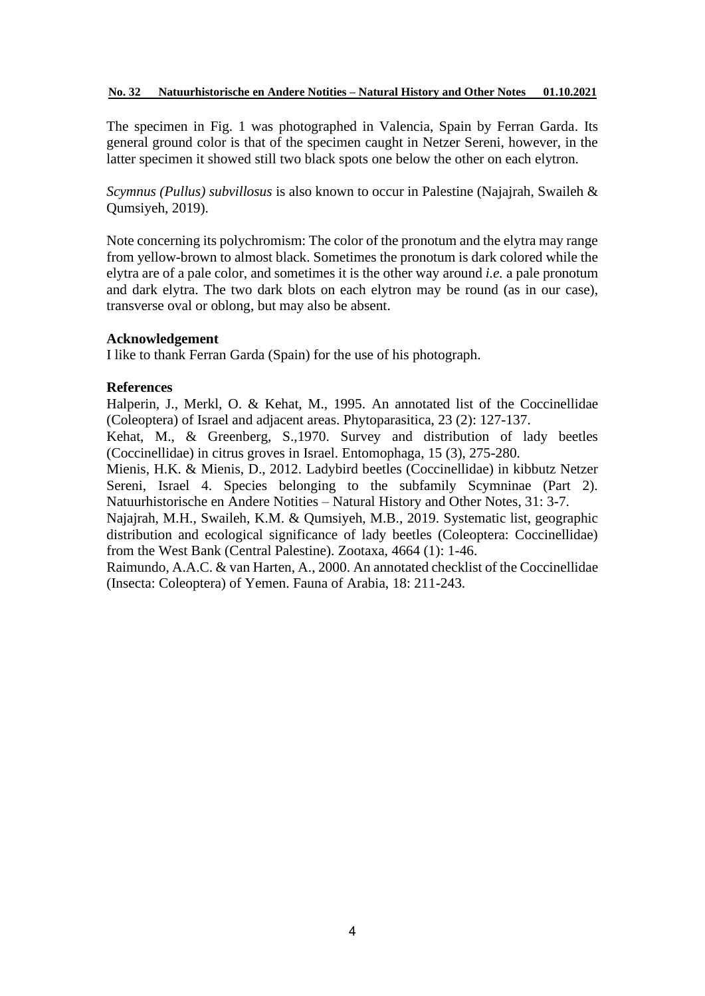The specimen in Fig. 1 was photographed in Valencia, Spain by Ferran Garda. Its general ground color is that of the specimen caught in Netzer Sereni, however, in the latter specimen it showed still two black spots one below the other on each elytron.

*Scymnus (Pullus) subvillosus* is also known to occur in Palestine (Najajrah, Swaileh & Qumsiyeh, 2019).

Note concerning its polychromism: The color of the pronotum and the elytra may range from yellow-brown to almost black. Sometimes the pronotum is dark colored while the elytra are of a pale color, and sometimes it is the other way around *i.e.* a pale pronotum and dark elytra. The two dark blots on each elytron may be round (as in our case), transverse oval or oblong, but may also be absent.

# **Acknowledgement**

I like to thank Ferran Garda (Spain) for the use of his photograph.

## **References**

Halperin, J., Merkl, O. & Kehat, M., 1995. An annotated list of the Coccinellidae (Coleoptera) of Israel and adjacent areas. Phytoparasitica, 23 (2): 127-137.

Kehat, M., & Greenberg, S.,1970. Survey and distribution of lady beetles (Coccinellidae) in citrus groves in Israel. Entomophaga, 15 (3), 275-280.

Mienis, H.K. & Mienis, D., 2012. Ladybird beetles (Coccinellidae) in kibbutz Netzer Sereni, Israel 4. Species belonging to the subfamily Scymninae (Part 2). Natuurhistorische en Andere Notities – Natural History and Other Notes, 31: 3-7.

Najajrah, M.H., Swaileh, K.M. & Qumsiyeh, M.B., 2019. Systematic list, geographic distribution and ecological significance of lady beetles (Coleoptera: Coccinellidae) from the West Bank (Central Palestine). Zootaxa, 4664 (1): 1-46.

Raimundo, A.A.C. & van Harten, A., 2000. An annotated checklist of the Coccinellidae (Insecta: Coleoptera) of Yemen. Fauna of Arabia, 18: 211-243.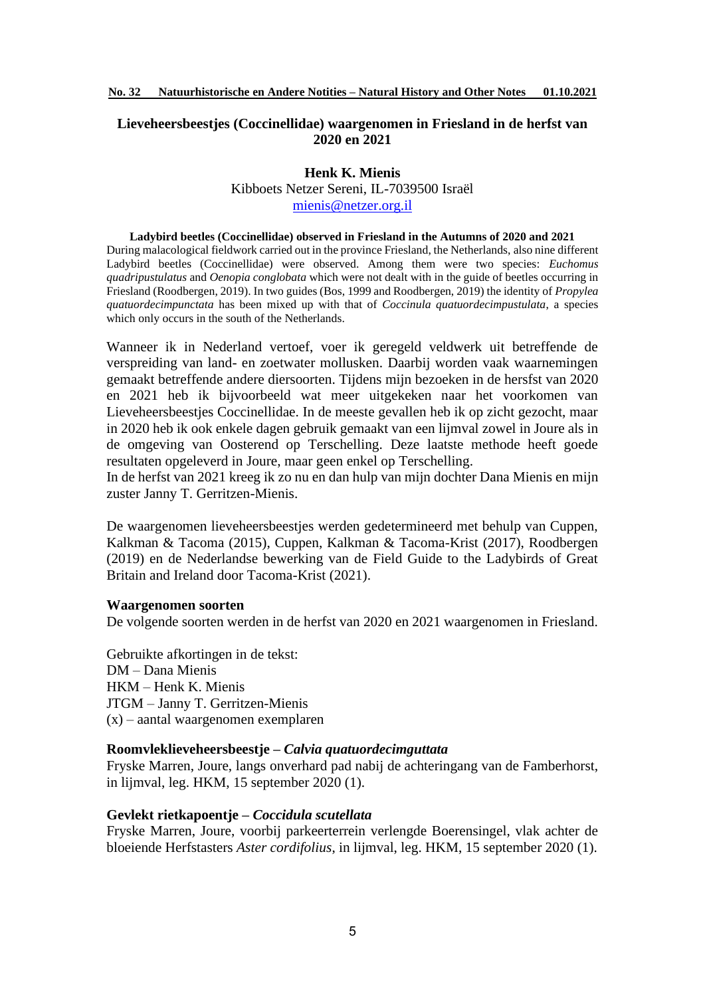# **Lieveheersbeestjes (Coccinellidae) waargenomen in Friesland in de herfst van 2020 en 2021**

## **Henk K. Mienis**

Kibboets Netzer Sereni, IL-7039500 Israël [mienis@netzer.org.il](mailto:mienis@netzer.org.il)

#### **Ladybird beetles (Coccinellidae) observed in Friesland in the Autumns of 2020 and 2021**

During malacological fieldwork carried out in the province Friesland, the Netherlands, also nine different Ladybird beetles (Coccinellidae) were observed. Among them were two species: *Euchomus quadripustulatus* and *Oenopia conglobata* which were not dealt with in the guide of beetles occurring in Friesland (Roodbergen, 2019). In two guides (Bos, 1999 and Roodbergen, 2019) the identity of *Propylea quatuordecimpunctata* has been mixed up with that of *Coccinula quatuordecimpustulata*, a species which only occurs in the south of the Netherlands.

Wanneer ik in Nederland vertoef, voer ik geregeld veldwerk uit betreffende de verspreiding van land- en zoetwater mollusken. Daarbij worden vaak waarnemingen gemaakt betreffende andere diersoorten. Tijdens mijn bezoeken in de hersfst van 2020 en 2021 heb ik bijvoorbeeld wat meer uitgekeken naar het voorkomen van Lieveheersbeestjes Coccinellidae. In de meeste gevallen heb ik op zicht gezocht, maar in 2020 heb ik ook enkele dagen gebruik gemaakt van een lijmval zowel in Joure als in de omgeving van Oosterend op Terschelling. Deze laatste methode heeft goede resultaten opgeleverd in Joure, maar geen enkel op Terschelling.

In de herfst van 2021 kreeg ik zo nu en dan hulp van mijn dochter Dana Mienis en mijn zuster Janny T. Gerritzen-Mienis.

De waargenomen lieveheersbeestjes werden gedetermineerd met behulp van Cuppen, Kalkman & Tacoma (2015), Cuppen, Kalkman & Tacoma-Krist (2017), Roodbergen (2019) en de Nederlandse bewerking van de Field Guide to the Ladybirds of Great Britain and Ireland door Tacoma-Krist (2021).

#### **Waargenomen soorten**

De volgende soorten werden in de herfst van 2020 en 2021 waargenomen in Friesland.

Gebruikte afkortingen in de tekst: DM – Dana Mienis HKM – Henk K. Mienis JTGM – Janny T. Gerritzen-Mienis (x) – aantal waargenomen exemplaren

## **Roomvleklieveheersbeestje –** *Calvia quatuordecimguttata*

Fryske Marren, Joure, langs onverhard pad nabij de achteringang van de Famberhorst, in lijmval, leg. HKM, 15 september 2020 (1).

#### **Gevlekt rietkapoentje –** *Coccidula scutellata*

Fryske Marren, Joure, voorbij parkeerterrein verlengde Boerensingel, vlak achter de bloeiende Herfstasters *Aster cordifolius*, in lijmval, leg. HKM, 15 september 2020 (1).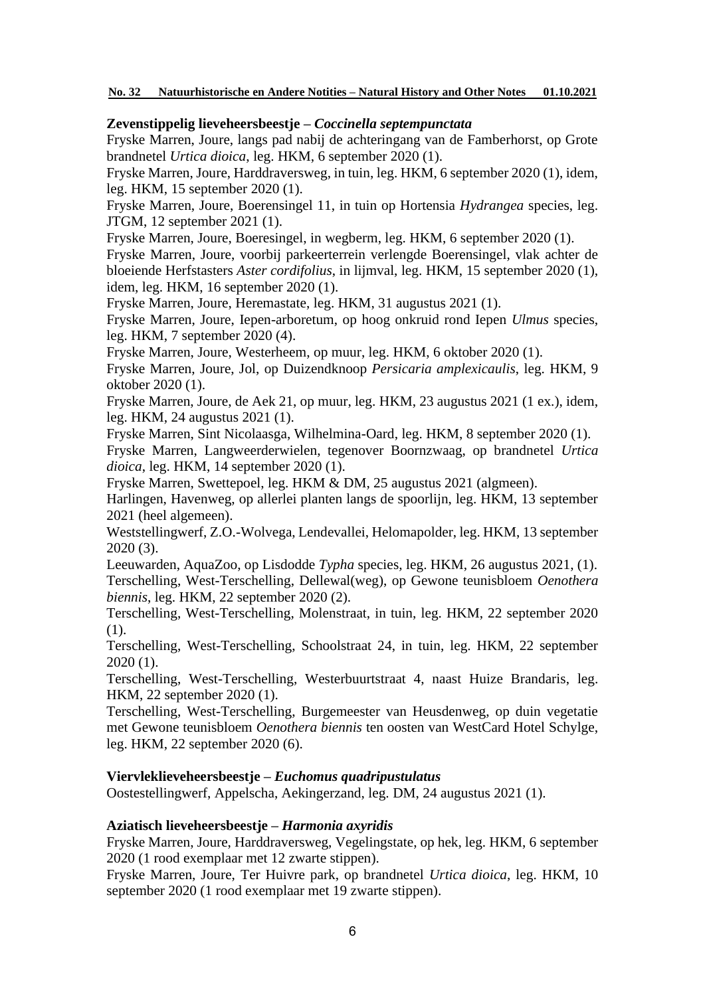# **Zevenstippelig lieveheersbeestje –** *Coccinella septempunctata*

Fryske Marren, Joure, langs pad nabij de achteringang van de Famberhorst, op Grote brandnetel *Urtica dioica*, leg. HKM, 6 september 2020 (1).

Fryske Marren, Joure, Harddraversweg, in tuin, leg. HKM, 6 september 2020 (1), idem, leg. HKM, 15 september 2020 (1).

Fryske Marren, Joure, Boerensingel 11, in tuin op Hortensia *Hydrangea* species, leg. JTGM, 12 september 2021 (1).

Fryske Marren, Joure, Boeresingel, in wegberm, leg. HKM, 6 september 2020 (1).

Fryske Marren, Joure, voorbij parkeerterrein verlengde Boerensingel, vlak achter de bloeiende Herfstasters *Aster cordifolius*, in lijmval, leg. HKM, 15 september 2020 (1), idem, leg. HKM, 16 september 2020 (1).

Fryske Marren, Joure, Heremastate, leg. HKM, 31 augustus 2021 (1).

Fryske Marren, Joure, Iepen-arboretum, op hoog onkruid rond Iepen *Ulmus* species, leg. HKM, 7 september 2020 (4).

Fryske Marren, Joure, Westerheem, op muur, leg. HKM, 6 oktober 2020 (1).

Fryske Marren, Joure, Jol, op Duizendknoop *Persicaria amplexicaulis*, leg. HKM, 9 oktober 2020 (1).

Fryske Marren, Joure, de Aek 21, op muur, leg. HKM, 23 augustus 2021 (1 ex.), idem, leg. HKM, 24 augustus 2021 (1).

Fryske Marren, Sint Nicolaasga, Wilhelmina-Oard, leg. HKM, 8 september 2020 (1). Fryske Marren, Langweerderwielen, tegenover Boornzwaag, op brandnetel *Urtica dioica*, leg. HKM, 14 september 2020 (1).

Fryske Marren, Swettepoel, leg. HKM & DM, 25 augustus 2021 (algmeen).

Harlingen, Havenweg, op allerlei planten langs de spoorlijn, leg. HKM, 13 september 2021 (heel algemeen).

Weststellingwerf, Z.O.-Wolvega, Lendevallei, Helomapolder, leg. HKM, 13 september 2020 (3).

Leeuwarden, AquaZoo, op Lisdodde *Typha* species*,* leg. HKM, 26 augustus 2021, (1). Terschelling, West-Terschelling, Dellewal(weg), op Gewone teunisbloem *Oenothera biennis*, leg. HKM, 22 september 2020 (2).

Terschelling, West-Terschelling, Molenstraat, in tuin, leg. HKM, 22 september 2020 (1).

Terschelling, West-Terschelling, Schoolstraat 24, in tuin, leg. HKM, 22 september 2020 (1).

Terschelling, West-Terschelling, Westerbuurtstraat 4, naast Huize Brandaris, leg. HKM, 22 september 2020 (1).

Terschelling, West-Terschelling, Burgemeester van Heusdenweg, op duin vegetatie met Gewone teunisbloem *Oenothera biennis* ten oosten van WestCard Hotel Schylge, leg. HKM, 22 september 2020 (6).

# **Viervleklieveheersbeestje –** *Euchomus quadripustulatus*

Oostestellingwerf, Appelscha, Aekingerzand, leg. DM, 24 augustus 2021 (1).

## **Aziatisch lieveheersbeestje –** *Harmonia axyridis*

Fryske Marren, Joure, Harddraversweg, Vegelingstate, op hek, leg. HKM, 6 september 2020 (1 rood exemplaar met 12 zwarte stippen).

Fryske Marren, Joure, Ter Huivre park, op brandnetel *Urtica dioica*, leg. HKM, 10 september 2020 (1 rood exemplaar met 19 zwarte stippen).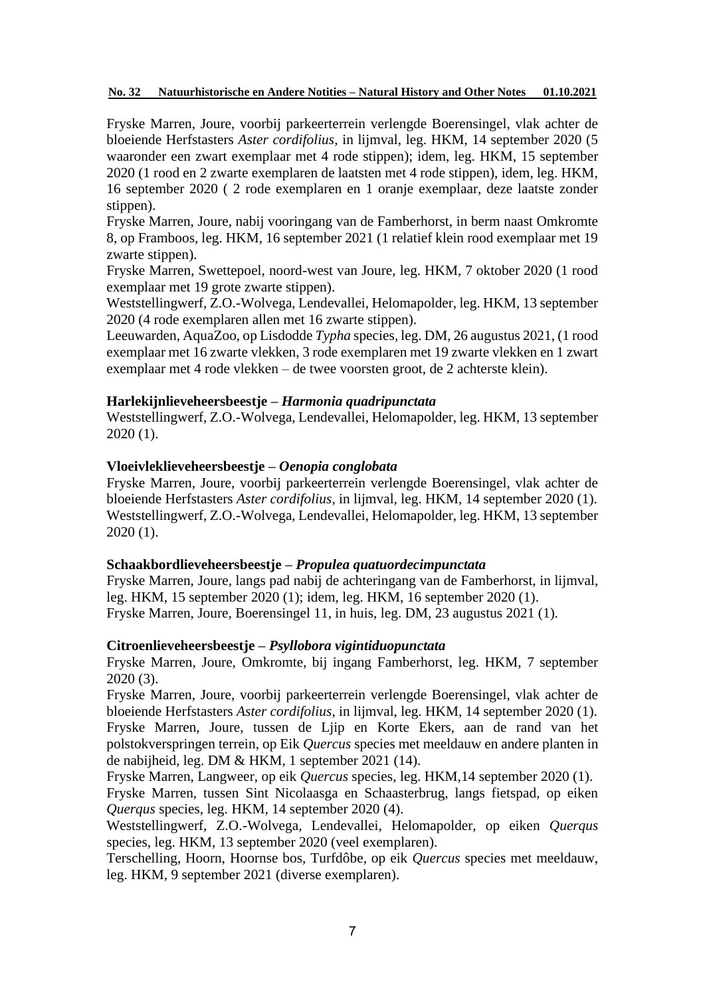Fryske Marren, Joure, voorbij parkeerterrein verlengde Boerensingel, vlak achter de bloeiende Herfstasters *Aster cordifolius*, in lijmval, leg. HKM, 14 september 2020 (5 waaronder een zwart exemplaar met 4 rode stippen); idem, leg. HKM, 15 september 2020 (1 rood en 2 zwarte exemplaren de laatsten met 4 rode stippen), idem, leg. HKM, 16 september 2020 ( 2 rode exemplaren en 1 oranje exemplaar, deze laatste zonder stippen).

Fryske Marren, Joure, nabij vooringang van de Famberhorst, in berm naast Omkromte 8, op Framboos, leg. HKM, 16 september 2021 (1 relatief klein rood exemplaar met 19 zwarte stippen).

Fryske Marren, Swettepoel, noord-west van Joure, leg. HKM, 7 oktober 2020 (1 rood exemplaar met 19 grote zwarte stippen).

Weststellingwerf, Z.O.-Wolvega, Lendevallei, Helomapolder, leg. HKM, 13 september 2020 (4 rode exemplaren allen met 16 zwarte stippen).

Leeuwarden, AquaZoo, op Lisdodde *Typha* species*,* leg. DM, 26 augustus 2021, (1 rood exemplaar met 16 zwarte vlekken, 3 rode exemplaren met 19 zwarte vlekken en 1 zwart exemplaar met 4 rode vlekken – de twee voorsten groot, de 2 achterste klein).

## **Harlekijnlieveheersbeestje –** *Harmonia quadripunctata*

Weststellingwerf, Z.O.-Wolvega, Lendevallei, Helomapolder, leg. HKM, 13 september 2020 (1).

# **Vloeivleklieveheersbeestje –** *Oenopia conglobata*

Fryske Marren, Joure, voorbij parkeerterrein verlengde Boerensingel, vlak achter de bloeiende Herfstasters *Aster cordifolius*, in lijmval, leg. HKM, 14 september 2020 (1). Weststellingwerf, Z.O.-Wolvega, Lendevallei, Helomapolder, leg. HKM, 13 september 2020 (1).

# **Schaakbordlieveheersbeestje –** *Propulea quatuordecimpunctata*

Fryske Marren, Joure, langs pad nabij de achteringang van de Famberhorst, in lijmval, leg. HKM, 15 september 2020 (1); idem, leg. HKM, 16 september 2020 (1). Fryske Marren, Joure, Boerensingel 11, in huis, leg. DM, 23 augustus 2021 (1).

# **Citroenlieveheersbeestje –** *Psyllobora vigintiduopunctata*

Fryske Marren, Joure, Omkromte, bij ingang Famberhorst, leg. HKM, 7 september 2020 (3).

Fryske Marren, Joure, voorbij parkeerterrein verlengde Boerensingel, vlak achter de bloeiende Herfstasters *Aster cordifolius*, in lijmval, leg. HKM, 14 september 2020 (1). Fryske Marren, Joure, tussen de Ljip en Korte Ekers, aan de rand van het polstokverspringen terrein, op Eik *Quercus* species met meeldauw en andere planten in de nabijheid, leg. DM & HKM, 1 september 2021 (14).

Fryske Marren, Langweer, op eik *Quercus* species, leg. HKM,14 september 2020 (1).

Fryske Marren, tussen Sint Nicolaasga en Schaasterbrug, langs fietspad, op eiken *Querqus* species, leg. HKM, 14 september 2020 (4).

Weststellingwerf, Z.O.-Wolvega, Lendevallei, Helomapolder, op eiken *Querqus* species, leg. HKM, 13 september 2020 (veel exemplaren).

Terschelling, Hoorn, Hoornse bos, Turfdôbe, op eik *Quercus* species met meeldauw, leg. HKM, 9 september 2021 (diverse exemplaren).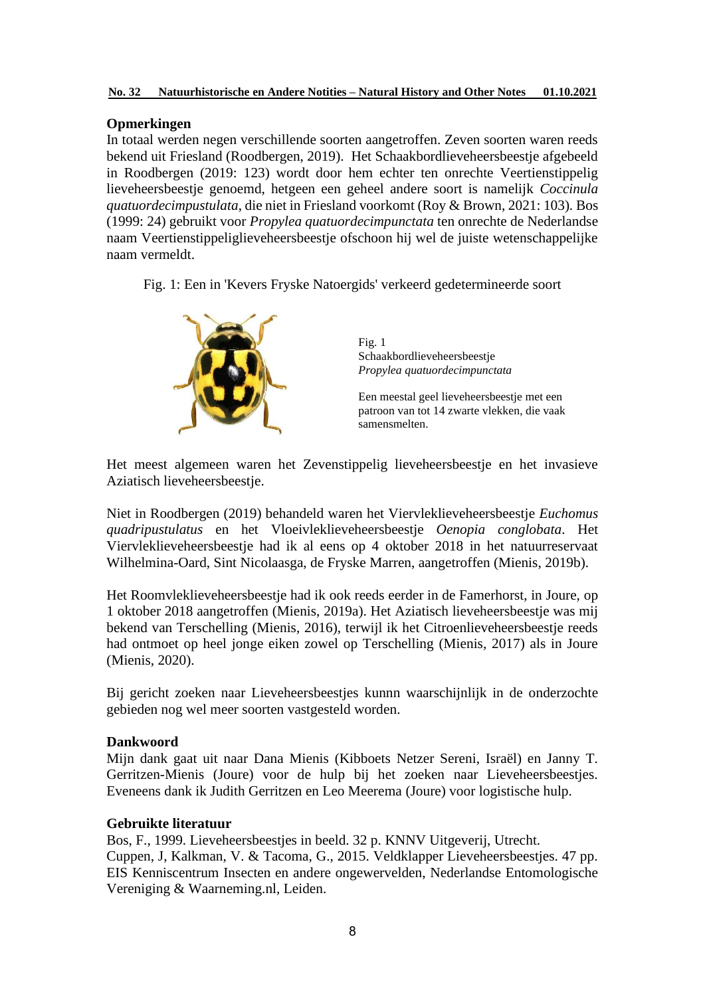# **Opmerkingen**

In totaal werden negen verschillende soorten aangetroffen. Zeven soorten waren reeds bekend uit Friesland (Roodbergen, 2019). Het Schaakbordlieveheersbeestje afgebeeld in Roodbergen (2019: 123) wordt door hem echter ten onrechte Veertienstippelig lieveheersbeestje genoemd, hetgeen een geheel andere soort is namelijk *Coccinula quatuordecimpustulata*, die niet in Friesland voorkomt (Roy & Brown, 2021: 103)*.* Bos (1999: 24) gebruikt voor *Propylea quatuordecimpunctata* ten onrechte de Nederlandse naam Veertienstippeliglieveheersbeestje ofschoon hij wel de juiste wetenschappelijke naam vermeldt.

Fig. 1: Een in 'Kevers Fryske Natoergids' verkeerd gedetermineerde soort



Fig. 1 Schaakbordlieveheersbeestje *Propylea quatuordecimpunctata*

Een meestal geel lieveheersbeestje met een patroon van tot 14 zwarte vlekken, die vaak samensmelten.

Het meest algemeen waren het Zevenstippelig lieveheersbeestje en het invasieve Aziatisch lieveheersbeestje.

Niet in Roodbergen (2019) behandeld waren het Viervleklieveheersbeestje *Euchomus quadripustulatus* en het Vloeivleklieveheersbeestje *Oenopia conglobata*. Het Viervleklieveheersbeestje had ik al eens op 4 oktober 2018 in het natuurreservaat Wilhelmina-Oard, Sint Nicolaasga, de Fryske Marren, aangetroffen (Mienis, 2019b).

Het Roomvleklieveheersbeestje had ik ook reeds eerder in de Famerhorst, in Joure, op 1 oktober 2018 aangetroffen (Mienis, 2019a). Het Aziatisch lieveheersbeestje was mij bekend van Terschelling (Mienis, 2016), terwijl ik het Citroenlieveheersbeestje reeds had ontmoet op heel jonge eiken zowel op Terschelling (Mienis, 2017) als in Joure (Mienis, 2020).

Bij gericht zoeken naar Lieveheersbeestjes kunnn waarschijnlijk in de onderzochte gebieden nog wel meer soorten vastgesteld worden.

# **Dankwoord**

Mijn dank gaat uit naar Dana Mienis (Kibboets Netzer Sereni, Israël) en Janny T. Gerritzen-Mienis (Joure) voor de hulp bij het zoeken naar Lieveheersbeestjes. Eveneens dank ik Judith Gerritzen en Leo Meerema (Joure) voor logistische hulp.

# **Gebruikte literatuur**

Bos, F., 1999. Lieveheersbeestjes in beeld. 32 p. KNNV Uitgeverij, Utrecht. Cuppen, J, Kalkman, V. & Tacoma, G., 2015. Veldklapper Lieveheersbeestjes. 47 pp. EIS Kenniscentrum Insecten en andere ongewervelden, Nederlandse Entomologische Vereniging & Waarneming.nl, Leiden.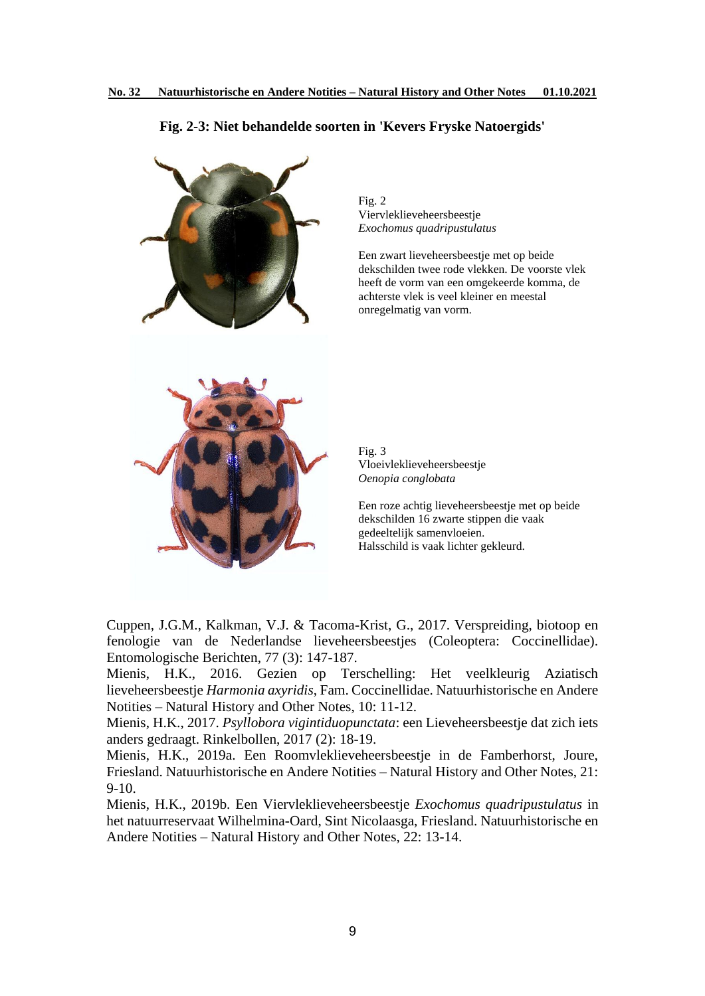## **Fig. 2-3: Niet behandelde soorten in 'Kevers Fryske Natoergids'**



Fig. 2 Viervleklieveheersbeestje *Exochomus quadripustulatus*

Een zwart lieveheersbeestje met op beide dekschilden twee rode vlekken. De voorste vlek heeft de vorm van een omgekeerde komma, de achterste vlek is veel kleiner en meestal onregelmatig van vorm.

Fig. 3 Vloeivleklieveheersbeestje *Oenopia conglobata*

Een roze achtig lieveheersbeestje met op beide dekschilden 16 zwarte stippen die vaak gedeeltelijk samenvloeien. Halsschild is vaak lichter gekleurd.

Cuppen, J.G.M., Kalkman, V.J. & Tacoma-Krist, G., 2017. Verspreiding, biotoop en fenologie van de Nederlandse lieveheersbeestjes (Coleoptera: Coccinellidae). Entomologische Berichten, 77 (3): 147-187.

Mienis, H.K., 2016. Gezien op Terschelling: Het veelkleurig Aziatisch lieveheersbeestje *Harmonia axyridis*, Fam. Coccinellidae. Natuurhistorische en Andere Notities – Natural History and Other Notes, 10: 11-12.

Mienis, H.K., 2017. *Psyllobora vigintiduopunctata*: een Lieveheersbeestje dat zich iets anders gedraagt. Rinkelbollen, 2017 (2): 18-19.

Mienis, H.K., 2019a. Een Roomvleklieveheersbeestje in de Famberhorst, Joure, Friesland. Natuurhistorische en Andere Notities – Natural History and Other Notes, 21: 9-10.

Mienis, H.K., 2019b. Een Viervleklieveheersbeestje *Exochomus quadripustulatus* in het natuurreservaat Wilhelmina-Oard, Sint Nicolaasga, Friesland. Natuurhistorische en Andere Notities – Natural History and Other Notes, 22: 13-14.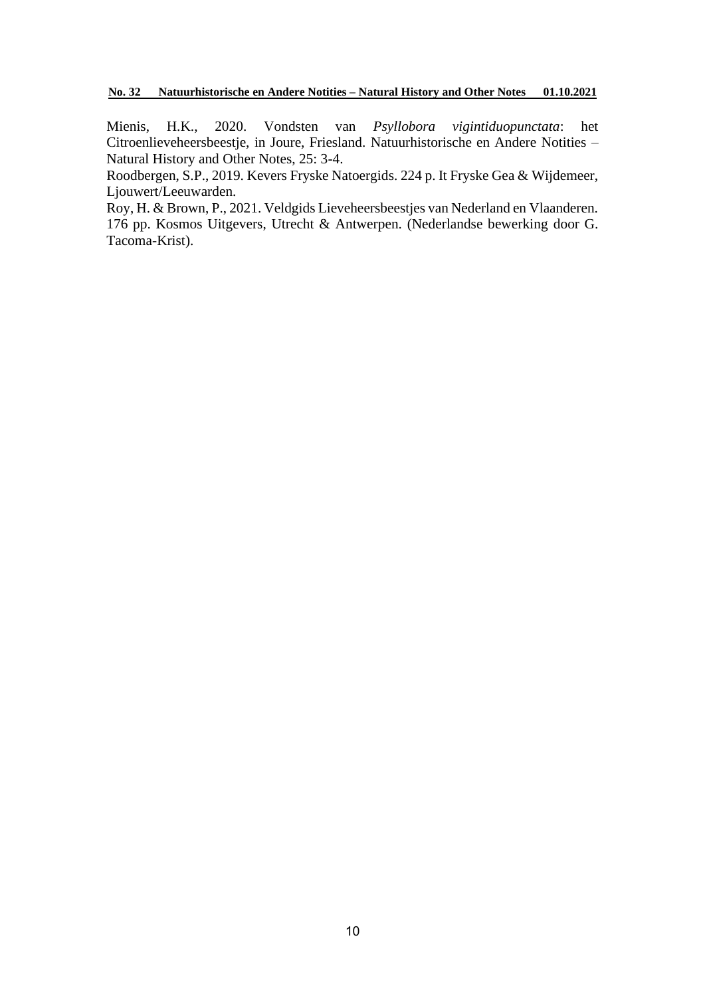Mienis, H.K., 2020. Vondsten van *Psyllobora vigintiduopunctata*: het Citroenlieveheersbeestje, in Joure, Friesland. Natuurhistorische en Andere Notities – Natural History and Other Notes, 25: 3-4.

Roodbergen, S.P., 2019. Kevers Fryske Natoergids. 224 p. It Fryske Gea & Wijdemeer, Ljouwert/Leeuwarden.

Roy, H. & Brown, P., 2021. Veldgids Lieveheersbeestjes van Nederland en Vlaanderen. 176 pp. Kosmos Uitgevers, Utrecht & Antwerpen. (Nederlandse bewerking door G. Tacoma-Krist).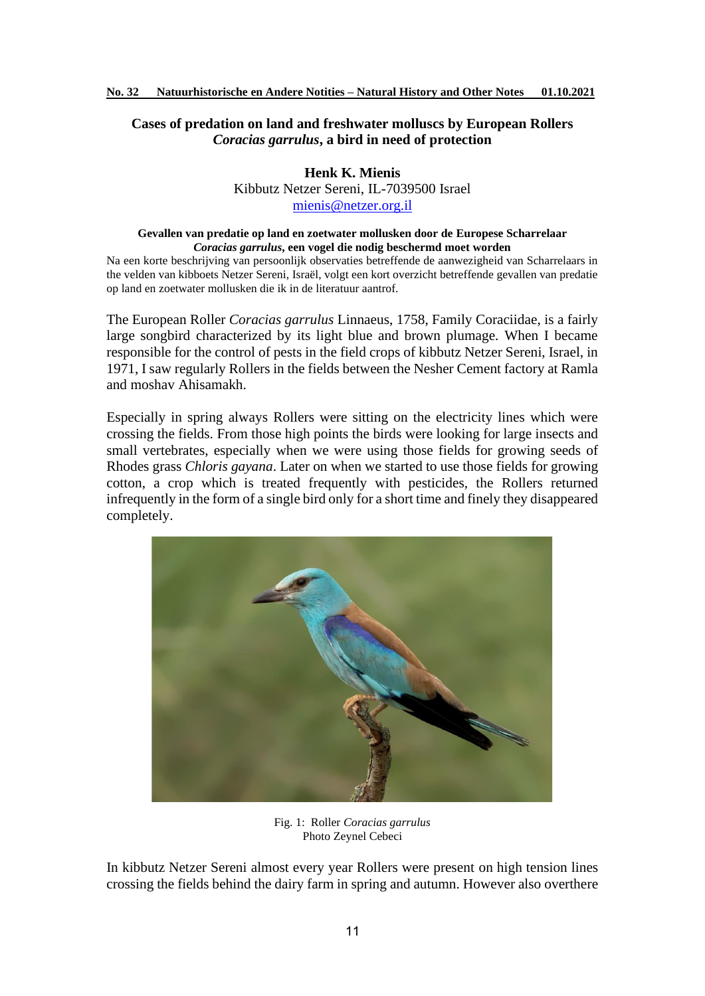# **Cases of predation on land and freshwater molluscs by European Rollers**  *Coracias garrulus***, a bird in need of protection**

**Henk K. Mienis** Kibbutz Netzer Sereni, IL-7039500 Israel [mienis@netzer.org.il](mailto:mienis@netzer.org.il)

#### **Gevallen van predatie op land en zoetwater mollusken door de Europese Scharrelaar**  *Coracias garrulus***, een vogel die nodig beschermd moet worden**

Na een korte beschrijving van persoonlijk observaties betreffende de aanwezigheid van Scharrelaars in the velden van kibboets Netzer Sereni, Israël, volgt een kort overzicht betreffende gevallen van predatie op land en zoetwater mollusken die ik in de literatuur aantrof.

The European Roller *Coracias garrulus* Linnaeus, 1758, Family Coraciidae, is a fairly large songbird characterized by its light blue and brown plumage. When I became responsible for the control of pests in the field crops of kibbutz Netzer Sereni, Israel, in 1971, I saw regularly Rollers in the fields between the Nesher Cement factory at Ramla and moshav Ahisamakh.

Especially in spring always Rollers were sitting on the electricity lines which were crossing the fields. From those high points the birds were looking for large insects and small vertebrates, especially when we were using those fields for growing seeds of Rhodes grass *Chloris gayana*. Later on when we started to use those fields for growing cotton, a crop which is treated frequently with pesticides, the Rollers returned infrequently in the form of a single bird only for a short time and finely they disappeared completely.



Fig. 1: Roller *Coracias garrulus* Photo Zeynel Cebeci

In kibbutz Netzer Sereni almost every year Rollers were present on high tension lines crossing the fields behind the dairy farm in spring and autumn. However also overthere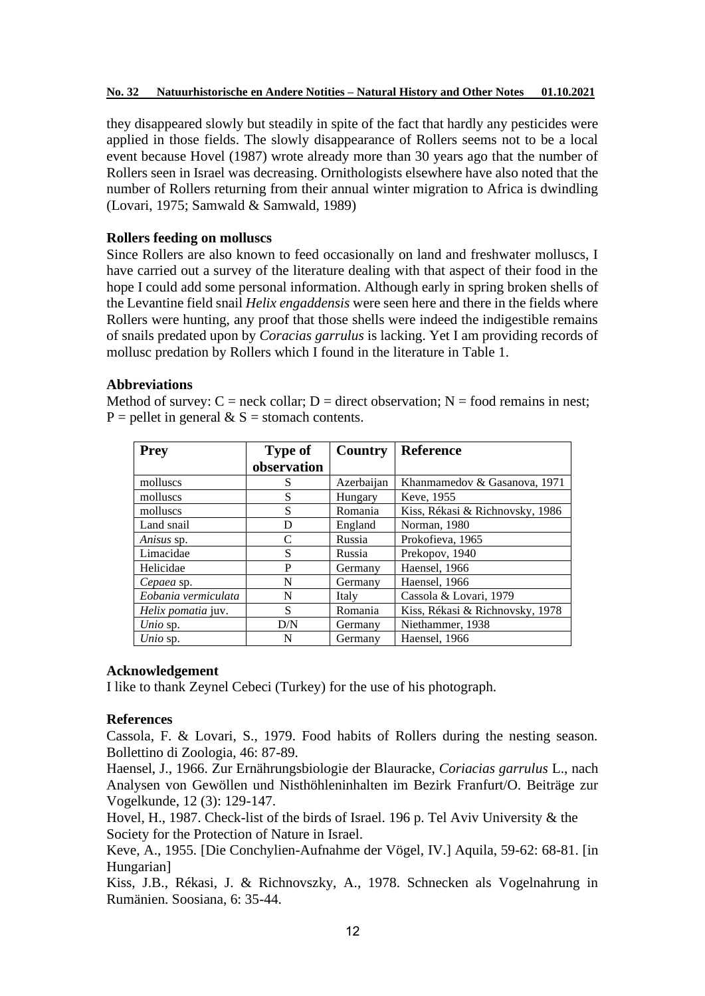they disappeared slowly but steadily in spite of the fact that hardly any pesticides were applied in those fields. The slowly disappearance of Rollers seems not to be a local event because Hovel (1987) wrote already more than 30 years ago that the number of Rollers seen in Israel was decreasing. Ornithologists elsewhere have also noted that the number of Rollers returning from their annual winter migration to Africa is dwindling (Lovari, 1975; Samwald & Samwald, 1989)

# **Rollers feeding on molluscs**

Since Rollers are also known to feed occasionally on land and freshwater molluscs, I have carried out a survey of the literature dealing with that aspect of their food in the hope I could add some personal information. Although early in spring broken shells of the Levantine field snail *Helix engaddensis* were seen here and there in the fields where Rollers were hunting, any proof that those shells were indeed the indigestible remains of snails predated upon by *Coracias garrulus* is lacking. Yet I am providing records of mollusc predation by Rollers which I found in the literature in Table 1.

# **Abbreviations**

Method of survey:  $C =$  neck collar;  $D =$  direct observation;  $N =$  food remains in nest;  $P =$  pellet in general & S = stomach contents.

| <b>Prey</b>               | <b>Type of</b> | <b>Country</b> | <b>Reference</b>                |
|---------------------------|----------------|----------------|---------------------------------|
|                           | observation    |                |                                 |
| molluscs                  | S              | Azerbaijan     | Khanmamedov & Gasanova, 1971    |
| molluscs                  | S              | Hungary        | Keve, 1955                      |
| molluscs                  | S              | Romania        | Kiss, Rékasi & Richnovsky, 1986 |
| Land snail                | D              | England        | Norman, 1980                    |
| Anisus sp.                | $\mathcal{C}$  | Russia         | Prokofieva, 1965                |
| Limacidae                 | S              | Russia         | Prekopov, 1940                  |
| Helicidae                 | P              | Germany        | Haensel, 1966                   |
| Cepaea sp.                | N              | Germany        | Haensel, 1966                   |
| Eobania vermiculata       | N              | Italy          | Cassola & Lovari, 1979          |
| <i>Helix pomatia</i> juv. | S              | Romania        | Kiss, Rékasi & Richnovsky, 1978 |
| Unio sp.                  | D/N            | Germany        | Niethammer, 1938                |
| Unio sp.                  | N              | Germany        | Haensel, 1966                   |

# **Acknowledgement**

I like to thank Zeynel Cebeci (Turkey) for the use of his photograph.

# **References**

Cassola, F. & Lovari, S., 1979. Food habits of Rollers during the nesting season. Bollettino di Zoologia, 46: 87-89.

Haensel, J., 1966. Zur Ernährungsbiologie der Blauracke, *Coriacias garrulus* L., nach Analysen von Gewöllen und Nisthöhleninhalten im Bezirk Franfurt/O. Beiträge zur Vogelkunde, 12 (3): 129-147.

Hovel, H., 1987. Check-list of the birds of Israel. 196 p. Tel Aviv University & the Society for the Protection of Nature in Israel.

Keve, A., 1955. [Die Conchylien-Aufnahme der Vögel, IV.] Aquila, 59-62: 68-81. [in Hungarian]

Kiss, J.B., Rékasi, J. & Richnovszky, A., 1978. Schnecken als Vogelnahrung in Rumänien. Soosiana, 6: 35-44.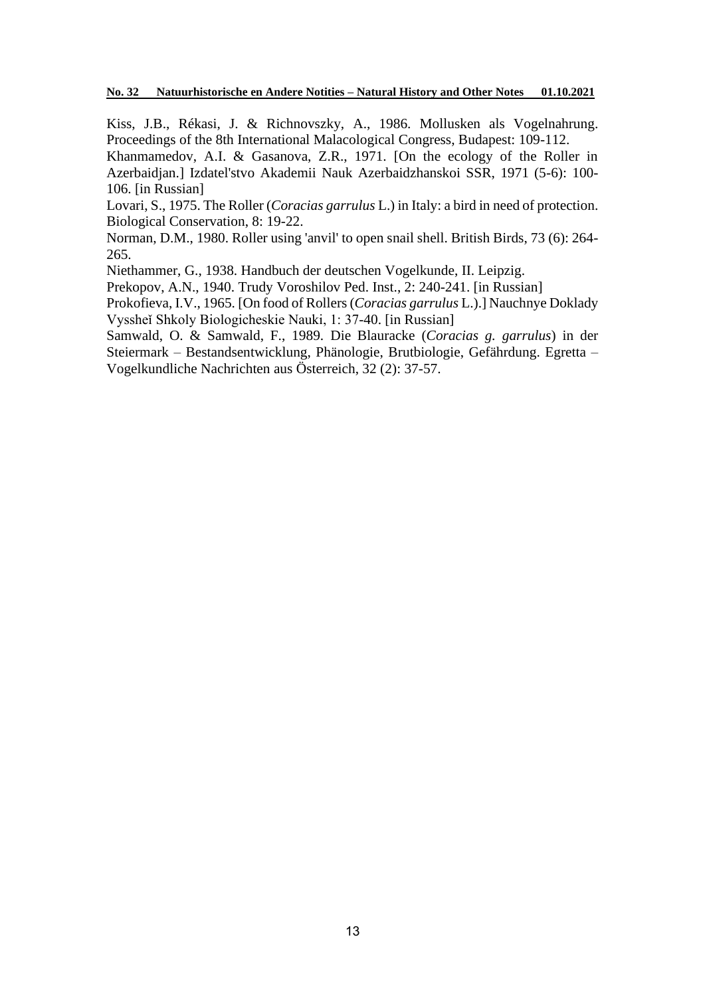Kiss, J.B., Rékasi, J. & Richnovszky, A., 1986. Mollusken als Vogelnahrung. Proceedings of the 8th International Malacological Congress, Budapest: 109-112.

Khanmamedov, A.I. & Gasanova, Z.R., 1971. [On the ecology of the Roller in Azerbaidjan.] Izdatel'stvo Akademii Nauk Azerbaidzhanskoi SSR, 1971 (5-6): 100- 106. [in Russian]

Lovari, S., 1975. The Roller (*Coracias garrulus* L.) in Italy: a bird in need of protection. Biological Conservation, 8: 19-22.

Norman, D.M., 1980. Roller using 'anvil' to open snail shell. British Birds, 73 (6): 264- 265.

Niethammer, G., 1938. Handbuch der deutschen Vogelkunde, II. Leipzig.

Prekopov, A.N., 1940. Trudy Voroshilov Ped. Inst., 2: 240-241. [in Russian]

Prokofieva, I.V., 1965. [On food of Rollers (*Coracias garrulus* L.).] Nauchnye Doklady Vyssheǐ Shkoly Biologicheskie Nauki, 1: 37-40. [in Russian]

Samwald, O. & Samwald, F., 1989. Die Blauracke (*Coracias g. garrulus*) in der Steiermark – Bestandsentwicklung, Phänologie, Brutbiologie, Gefährdung. Egretta – Vogelkundliche Nachrichten aus Österreich, 32 (2): 37-57.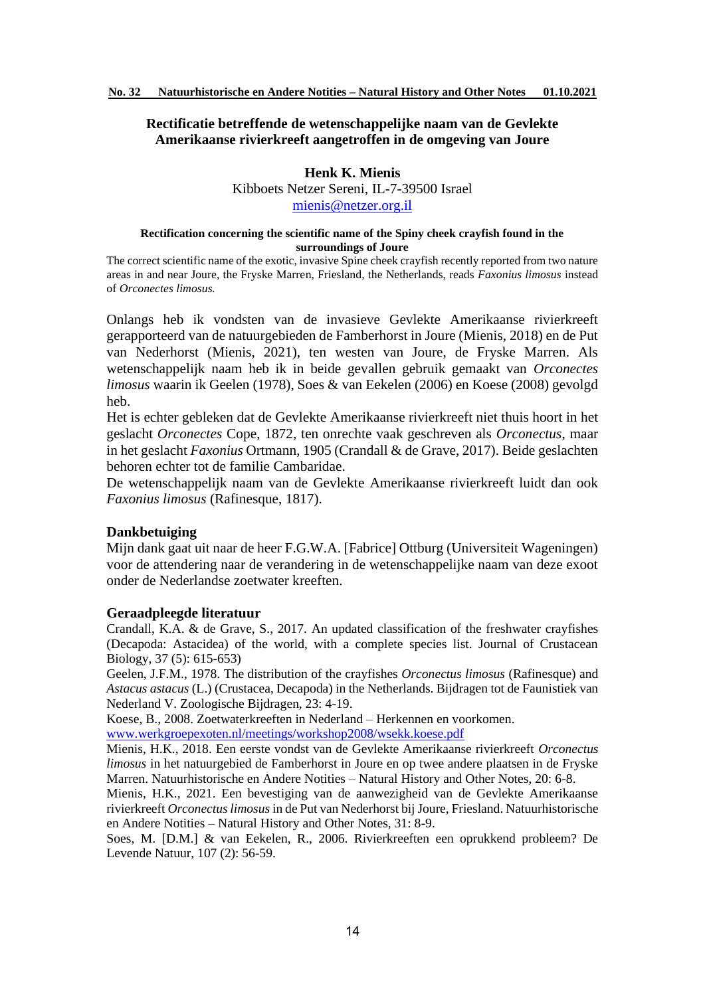## **Rectificatie betreffende de wetenschappelijke naam van de Gevlekte Amerikaanse rivierkreeft aangetroffen in de omgeving van Joure**

# **Henk K. Mienis**

Kibboets Netzer Sereni, IL-7-39500 Israel [mienis@netzer.org.il](mailto:mienis@netzer.org.il)

#### **Rectification concerning the scientific name of the Spiny cheek crayfish found in the surroundings of Joure**

The correct scientific name of the exotic, invasive Spine cheek crayfish recently reported from two nature areas in and near Joure, the Fryske Marren, Friesland, the Netherlands, reads *Faxonius limosus* instead of *Orconectes limosus.*

Onlangs heb ik vondsten van de invasieve Gevlekte Amerikaanse rivierkreeft gerapporteerd van de natuurgebieden de Famberhorst in Joure (Mienis, 2018) en de Put van Nederhorst (Mienis, 2021), ten westen van Joure, de Fryske Marren. Als wetenschappelijk naam heb ik in beide gevallen gebruik gemaakt van *Orconectes limosus* waarin ik Geelen (1978), Soes & van Eekelen (2006) en Koese (2008) gevolgd heb.

Het is echter gebleken dat de Gevlekte Amerikaanse rivierkreeft niet thuis hoort in het geslacht *Orconectes* Cope, 1872, ten onrechte vaak geschreven als *Orconectus*, maar in het geslacht *Faxonius* Ortmann, 1905 (Crandall & de Grave, 2017). Beide geslachten behoren echter tot de familie Cambaridae.

De wetenschappelijk naam van de Gevlekte Amerikaanse rivierkreeft luidt dan ook *Faxonius limosus* (Rafinesque, 1817).

## **Dankbetuiging**

Mijn dank gaat uit naar de heer F.G.W.A. [Fabrice] Ottburg (Universiteit Wageningen) voor de attendering naar de verandering in de wetenschappelijke naam van deze exoot onder de Nederlandse zoetwater kreeften.

## **Geraadpleegde literatuur**

Crandall, K.A. & de Grave, S., 2017. An updated classification of the freshwater crayfishes (Decapoda: Astacidea) of the world, with a complete species list. Journal of Crustacean Biology, 37 (5): 615-653)

Geelen, J.F.M., 1978. The distribution of the crayfishes *Orconectus limosus* (Rafinesque) and *Astacus astacus* (L.) (Crustacea, Decapoda) in the Netherlands. Bijdragen tot de Faunistiek van Nederland V. Zoologische Bijdragen, 23: 4-19.

Koese, B., 2008. Zoetwaterkreeften in Nederland – Herkennen en voorkomen.

[www.werkgroepexoten.nl/meetings/workshop2008/wsekk.koese.pdf](http://www.werkgroepexoten.nl/meetings/workshop2008/wsekk.koese.pdf)

Mienis, H.K., 2018. Een eerste vondst van de Gevlekte Amerikaanse rivierkreeft *Orconectus limosus* in het natuurgebied de Famberhorst in Joure en op twee andere plaatsen in de Fryske Marren. Natuurhistorische en Andere Notities – Natural History and Other Notes, 20: 6-8.

Mienis, H.K., 2021. Een bevestiging van de aanwezigheid van de Gevlekte Amerikaanse rivierkreeft *Orconectus limosus* in de Put van Nederhorst bij Joure, Friesland. Natuurhistorische en Andere Notities – Natural History and Other Notes, 31: 8-9.

Soes, M. [D.M.] & van Eekelen, R., 2006. Rivierkreeften een oprukkend probleem? De Levende Natuur, 107 (2): 56-59.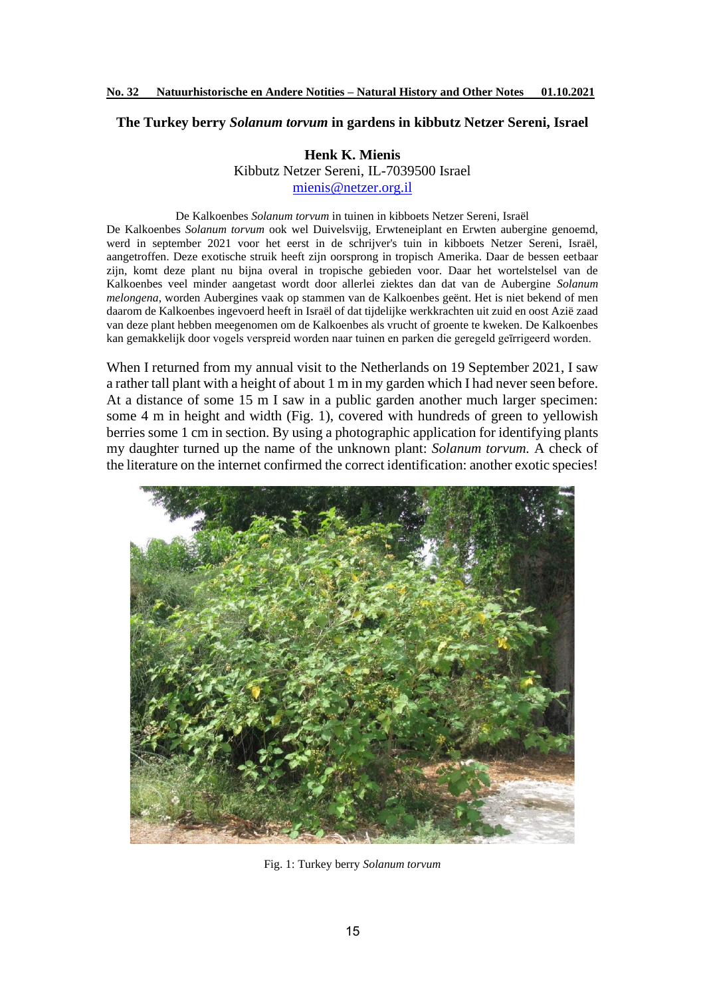#### **The Turkey berry** *Solanum torvum* **in gardens in kibbutz Netzer Sereni, Israel**

## **Henk K. Mienis**

Kibbutz Netzer Sereni, IL-7039500 Israel [mienis@netzer.org.il](mailto:mienis@netzer.org.il)

#### De Kalkoenbes *Solanum torvum* in tuinen in kibboets Netzer Sereni, Israël

De Kalkoenbes *Solanum torvum* ook wel Duivelsvijg, Erwteneiplant en Erwten aubergine genoemd, werd in september 2021 voor het eerst in de schrijver's tuin in kibboets Netzer Sereni, Israël, aangetroffen. Deze exotische struik heeft zijn oorsprong in tropisch Amerika. Daar de bessen eetbaar zijn, komt deze plant nu bijna overal in tropische gebieden voor. Daar het wortelstelsel van de Kalkoenbes veel minder aangetast wordt door allerlei ziektes dan dat van de Aubergine *Solanum melongena*, worden Aubergines vaak op stammen van de Kalkoenbes geënt. Het is niet bekend of men daarom de Kalkoenbes ingevoerd heeft in Israël of dat tijdelijke werkkrachten uit zuid en oost Azië zaad van deze plant hebben meegenomen om de Kalkoenbes als vrucht of groente te kweken. De Kalkoenbes kan gemakkelijk door vogels verspreid worden naar tuinen en parken die geregeld geīrrigeerd worden.

When I returned from my annual visit to the Netherlands on 19 September 2021, I saw a rather tall plant with a height of about 1 m in my garden which I had never seen before. At a distance of some 15 m I saw in a public garden another much larger specimen: some 4 m in height and width (Fig. 1), covered with hundreds of green to yellowish berries some 1 cm in section. By using a photographic application for identifying plants my daughter turned up the name of the unknown plant: *Solanum torvum.* A check of the literature on the internet confirmed the correct identification: another exotic species!



Fig. 1: Turkey berry *Solanum torvum*